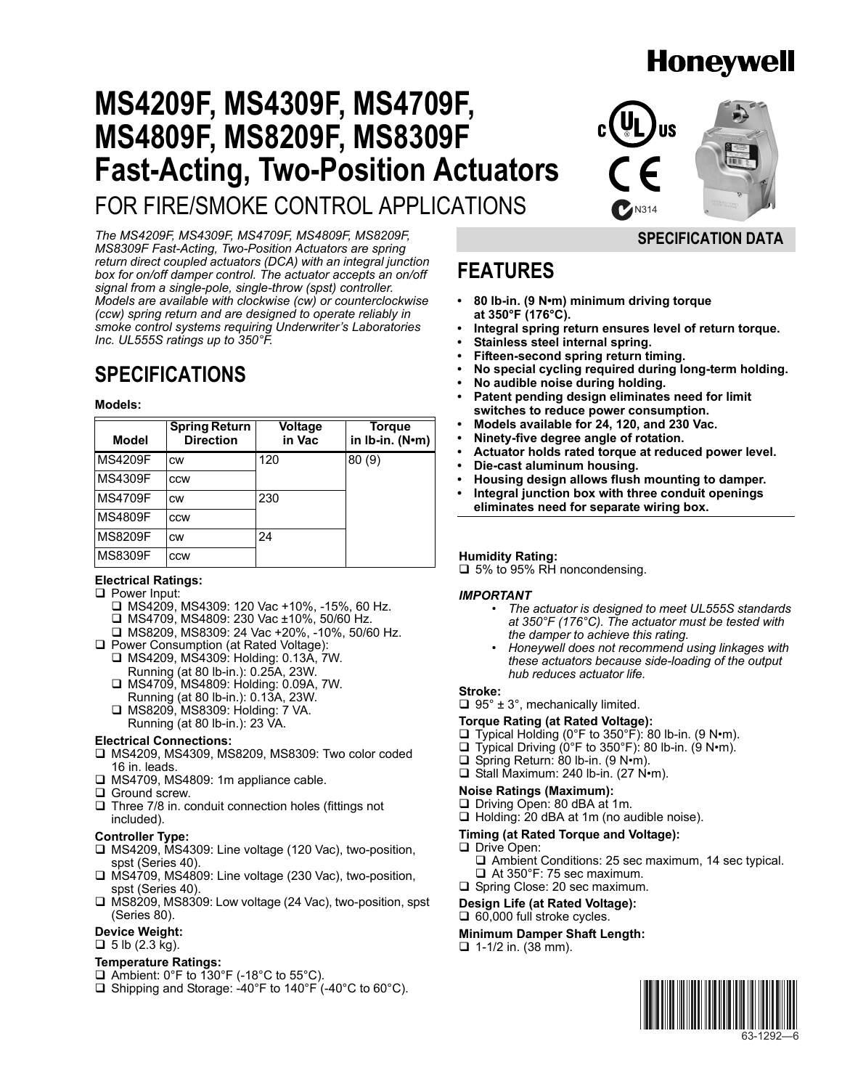# **Honeywell**

# **MS4209F, MS4309F, MS4709F, MS4809F, MS8209F, MS8309F Fast-Acting, Two-Position Actuators** FOR FIRE/SMOKE CONTROL APPLICATIONS

**SPECIFICATION DATA**

*The MS4209F, MS4309F, MS4709F, MS4809F, MS8209F, MS8309F Fast-Acting, Two-Position Actuators are spring return direct coupled actuators (DCA) with an integral junction box for on/off damper control. The actuator accepts an on/off signal from a single-pole, single-throw (spst) controller. Models are available with clockwise (cw) or counterclockwise (ccw) spring return and are designed to operate reliably in smoke control systems requiring Underwriterís Laboratories Inc. UL555S ratings up to 350°F.*

# **SPECIFICATIONS**

#### **Models:**

| <b>Model</b>   | <b>Spring Return</b><br><b>Direction</b> | Voltage<br>in Vac | Torque<br>in Ib-in. (N•m) |
|----------------|------------------------------------------|-------------------|---------------------------|
| <b>MS4209F</b> | <b>CW</b>                                | 120               | 80(9)                     |
| <b>MS4309F</b> | <b>CCW</b>                               |                   |                           |
| <b>MS4709F</b> | <b>CW</b>                                | 230               |                           |
| <b>MS4809F</b> | <b>CCW</b>                               |                   |                           |
| <b>MS8209F</b> | <b>CW</b>                                | 24                |                           |
| <b>MS8309F</b> | <b>CCW</b>                               |                   |                           |

## **Electrical Ratings:**

- □ Power Input:
	- $\Box$  MS4209, MS4309: 120 Vac +10%, -15%, 60 Hz.
	- □ MS4709, MS4809: 230 Vac ±10%, 50/60 Hz.
	- □ MS8209, MS8309: 24 Vac +20%, -10%, 50/60 Hz.
- □ Power Consumption (at Rated Voltage):
	- □ MS4209, MS4309: Holding: 0.13A, 7W. Running (at 80 lb-in.): 0.25A, 23W.
	- □ MS4709, MS4809: Holding: 0.09A, 7W. Running (at 80 lb-in.): 0.13A, 23W.
	- □ MS8209, MS8309: Holding: 7 VA. Running (at 80 lb-in.): 23 VA.

#### **Electrical Connections:**

- □ MS4209, MS4309, MS8209, MS8309: Two color coded 16 in. leads.
- □ MS4709, MS4809: 1m appliance cable.
- $\square$  Ground screw.
- $\Box$  Three 7/8 in. conduit connection holes (fittings not included).

## **Controller Type:**

- □ MS4209, MS4309: Line voltage (120 Vac), two-position, spst (Series 40).
- □ MS4709, MS4809: Line voltage (230 Vac), two-position, spst (Series 40).
- □ MS8209, MS8309: Low voltage (24 Vac), two-position, spst (Series 80).

# **Device Weight:**

 $\Box$  5 lb (2.3 kg).

# **Temperature Ratings:**

- $\Box$  Ambient: 0°F to 130°F (-18°C to 55°C).
- □ Shipping and Storage: -40°F to 140°F (-40°C to 60°C).

# **FEATURES**

- 80 lb-in. (9 N<sup>o</sup>m) minimum driving torque **at 350°F (176°C).**
- Integral spring return ensures level of return torque.
- **ï Stainless steel internal spring.**
- **ï Fifteen-second spring return timing.**
- **ï No special cycling required during long-term holding.**
- **ï No audible noise during holding.**
- Patent pending design eliminates need for limit **switches to reduce power consumption.**
- **ï Models available for 24, 120, and 230 Vac.**
- **ï Ninety-five degree angle of rotation.**
- Actuator holds rated torque at reduced power level.
- **ï Die-cast aluminum housing.**
- **ï Housing design allows flush mounting to damper.**
- Integral junction box with three conduit openings **eliminates need for separate wiring box.**

#### **Humidity Rating:**

 $\Box$  5% to 95% RH noncondensing.

#### *IMPORTANT*

- *ï The actuator is designed to meet UL555S standards at 350°F (176°C). The actuator must be tested with the damper to achieve this rating.*
- *ï Honeywell does not recommend using linkages with these actuators because side-loading of the output hub reduces actuator life.*

#### **Stroke:**

 $\Box$  95° ± 3°, mechanically limited.

#### **Torque Rating (at Rated Voltage):**

- □ Typical Holding (0°F to 350°F): 80 lb-in. (9 N•m).
- $\Box$  Typical Driving (0°F to 350°F): 80 lb-in. (9 N•m).
- $\Box$  Spring Return: 80 lb-in. (9 N•m).
- $\Box$  Stall Maximum: 240 lb-in. (27 N $\cdot$ m).

#### **Noise Ratings (Maximum):**

- □ Driving Open: 80 dBA at 1m.
- $\Box$  Holding: 20 dBA at 1m (no audible noise).

# **Timing (at Rated Torque and Voltage):**

### Drive Open:

- $\Box$  Ambient Conditions: 25 sec maximum, 14 sec typical.
- $\Box$  At 350°F: 75 sec maximum. □ Spring Close: 20 sec maximum.

**Design Life (at Rated Voltage):**

 $\Box$  60,000 full stroke cycles.

# **Minimum Damper Shaft Length:**

 $\Box$  1-1/2 in. (38 mm).